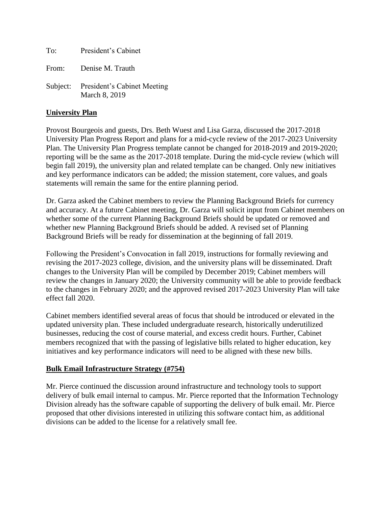To: President's Cabinet From: Denise M. Trauth Subject: President's Cabinet Meeting March 8, 2019

### **University Plan**

Provost Bourgeois and guests, Drs. Beth Wuest and Lisa Garza, discussed the 2017-2018 University Plan Progress Report and plans for a mid-cycle review of the 2017-2023 University Plan. The University Plan Progress template cannot be changed for 2018-2019 and 2019-2020; reporting will be the same as the 2017-2018 template. During the mid-cycle review (which will begin fall 2019), the university plan and related template can be changed. Only new initiatives and key performance indicators can be added; the mission statement, core values, and goals statements will remain the same for the entire planning period.

Dr. Garza asked the Cabinet members to review the Planning Background Briefs for currency and accuracy. At a future Cabinet meeting, Dr. Garza will solicit input from Cabinet members on whether some of the current Planning Background Briefs should be updated or removed and whether new Planning Background Briefs should be added. A revised set of Planning Background Briefs will be ready for dissemination at the beginning of fall 2019.

Following the President's Convocation in fall 2019, instructions for formally reviewing and revising the 2017-2023 college, division, and the university plans will be disseminated. Draft changes to the University Plan will be compiled by December 2019; Cabinet members will review the changes in January 2020; the University community will be able to provide feedback to the changes in February 2020; and the approved revised 2017-2023 University Plan will take effect fall 2020.

Cabinet members identified several areas of focus that should be introduced or elevated in the updated university plan. These included undergraduate research, historically underutilized businesses, reducing the cost of course material, and excess credit hours. Further, Cabinet members recognized that with the passing of legislative bills related to higher education, key initiatives and key performance indicators will need to be aligned with these new bills.

# **Bulk Email Infrastructure Strategy (#754)**

Mr. Pierce continued the discussion around infrastructure and technology tools to support delivery of bulk email internal to campus. Mr. Pierce reported that the Information Technology Division already has the software capable of supporting the delivery of bulk email. Mr. Pierce proposed that other divisions interested in utilizing this software contact him, as additional divisions can be added to the license for a relatively small fee.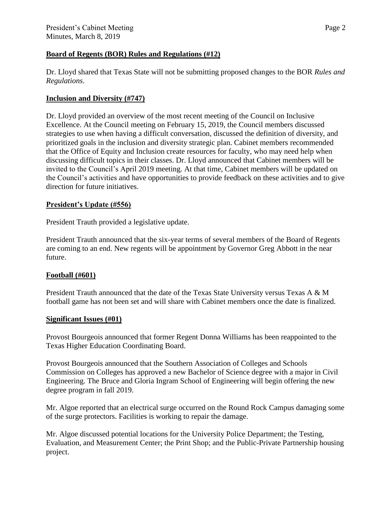### **Board of Regents (BOR) Rules and Regulations (#12)**

Dr. Lloyd shared that Texas State will not be submitting proposed changes to the BOR *Rules and Regulations*.

# **Inclusion and Diversity (#747)**

Dr. Lloyd provided an overview of the most recent meeting of the Council on Inclusive Excellence. At the Council meeting on February 15, 2019, the Council members discussed strategies to use when having a difficult conversation, discussed the definition of diversity, and prioritized goals in the inclusion and diversity strategic plan. Cabinet members recommended that the Office of Equity and Inclusion create resources for faculty, who may need help when discussing difficult topics in their classes. Dr. Lloyd announced that Cabinet members will be invited to the Council's April 2019 meeting. At that time, Cabinet members will be updated on the Council's activities and have opportunities to provide feedback on these activities and to give direction for future initiatives.

# **President's Update (#556)**

President Trauth provided a legislative update.

President Trauth announced that the six-year terms of several members of the Board of Regents are coming to an end. New regents will be appointment by Governor Greg Abbott in the near future.

# **Football (#601)**

President Trauth announced that the date of the Texas State University versus Texas A & M football game has not been set and will share with Cabinet members once the date is finalized.

# **Significant Issues (#01)**

Provost Bourgeois announced that former Regent Donna Williams has been reappointed to the Texas Higher Education Coordinating Board.

Provost Bourgeois announced that the Southern Association of Colleges and Schools Commission on Colleges has approved a new Bachelor of Science degree with a major in Civil Engineering. The Bruce and Gloria Ingram School of Engineering will begin offering the new degree program in fall 2019.

Mr. Algoe reported that an electrical surge occurred on the Round Rock Campus damaging some of the surge protectors. Facilities is working to repair the damage.

Mr. Algoe discussed potential locations for the University Police Department; the Testing, Evaluation, and Measurement Center; the Print Shop; and the Public-Private Partnership housing project.